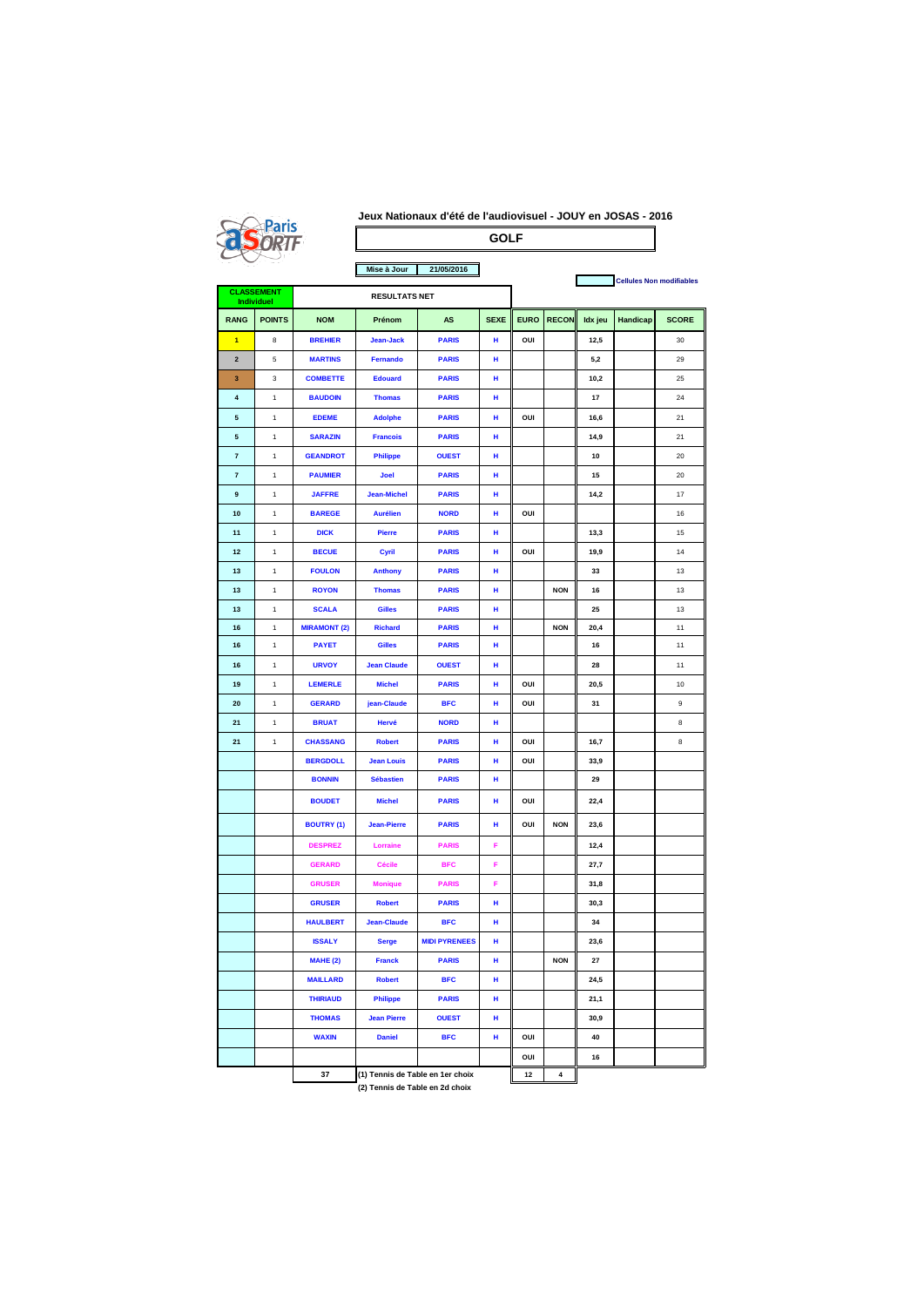|--|

## **Jeux Nationaux d'été de l'audiovisuel - JOUY en JOSAS - 2016 GOLF**

| Mise à Jour<br>21/05/2016              |               |                      |                                  |                      | <b>Cellules Non modifiables</b> |             |              |         |          |              |
|----------------------------------------|---------------|----------------------|----------------------------------|----------------------|---------------------------------|-------------|--------------|---------|----------|--------------|
| <b>CLASSEMENT</b><br><b>Individuel</b> |               | <b>RESULTATS NET</b> |                                  |                      |                                 |             |              |         |          |              |
| <b>RANG</b>                            | <b>POINTS</b> | <b>NOM</b>           | Prénom                           | AS                   | <b>SEXE</b>                     | <b>EURO</b> | <b>RECON</b> | Idx jeu | Handicap | <b>SCORE</b> |
| 1                                      | 8             | <b>BREHIER</b>       | Jean-Jack                        | <b>PARIS</b>         | н                               | OUI         |              | 12,5    |          | 30           |
| $\mathbf 2$                            | 5             | <b>MARTINS</b>       | Fernando                         | <b>PARIS</b>         | н                               |             |              | 5,2     |          | 29           |
| 3                                      | 3             | <b>COMBETTE</b>      | <b>Edouard</b>                   | <b>PARIS</b>         | н                               |             |              | 10,2    |          | 25           |
| 4                                      | $\mathbf{1}$  | <b>BAUDOIN</b>       | <b>Thomas</b>                    | <b>PARIS</b>         | н                               |             |              | 17      |          | 24           |
| 5                                      | $\mathbf{1}$  | <b>EDEME</b>         | <b>Adolphe</b>                   | <b>PARIS</b>         | н                               | OUI         |              | 16,6    |          | 21           |
| 5                                      | $\mathbf{1}$  | <b>SARAZIN</b>       | <b>Francois</b>                  | <b>PARIS</b>         | н                               |             |              | 14,9    |          | 21           |
| $\overline{7}$                         | 1             | <b>GEANDROT</b>      | <b>Philippe</b>                  | <b>OUEST</b>         | н                               |             |              | 10      |          | 20           |
| $\overline{7}$                         | $\mathbf{1}$  | <b>PAUMIER</b>       | Joel                             | <b>PARIS</b>         | н                               |             |              | 15      |          | 20           |
| 9                                      | $\mathbf{1}$  | <b>JAFFRE</b>        | <b>Jean-Michel</b>               | <b>PARIS</b>         | н                               |             |              | 14,2    |          | 17           |
| 10                                     | $\mathbf{1}$  | <b>BAREGE</b>        | <b>Aurélien</b>                  | <b>NORD</b>          | н                               | OUI         |              |         |          | 16           |
| 11                                     | 1             | <b>DICK</b>          | <b>Pierre</b>                    | <b>PARIS</b>         | н                               |             |              | 13,3    |          | 15           |
| 12                                     | 1             | <b>BECUE</b>         | Cyril                            | <b>PARIS</b>         | н                               | OUI         |              | 19,9    |          | 14           |
| 13                                     | $\mathbf{1}$  | <b>FOULON</b>        | <b>Anthony</b>                   | <b>PARIS</b>         | н                               |             |              | 33      |          | 13           |
| 13                                     | $\mathbf{1}$  | <b>ROYON</b>         | <b>Thomas</b>                    | <b>PARIS</b>         | н                               |             | <b>NON</b>   | 16      |          | 13           |
| 13                                     | 1             | <b>SCALA</b>         | <b>Gilles</b>                    | <b>PARIS</b>         | н                               |             |              | 25      |          | 13           |
| 16                                     | 1             | <b>MIRAMONT (2)</b>  | <b>Richard</b>                   | <b>PARIS</b>         | н                               |             | <b>NON</b>   | 20,4    |          | 11           |
| 16                                     | $\mathbf{1}$  | <b>PAYET</b>         | <b>Gilles</b>                    | <b>PARIS</b>         | н                               |             |              | 16      |          | 11           |
| 16                                     | 1             | <b>URVOY</b>         | <b>Jean Claude</b>               | <b>OUEST</b>         | н                               |             |              | 28      |          | 11           |
| 19                                     | 1             | <b>LEMERLE</b>       | <b>Michel</b>                    | <b>PARIS</b>         | н                               | OUI         |              | 20,5    |          | 10           |
| 20                                     | $\mathbf{1}$  | <b>GERARD</b>        | jean-Claude                      | <b>BFC</b>           | н                               | OUI         |              | 31      |          | 9            |
| 21                                     | 1             | <b>BRUAT</b>         | Hervé                            | <b>NORD</b>          | н                               |             |              |         |          | 8            |
| 21                                     | 1             | <b>CHASSANG</b>      | <b>Robert</b>                    | <b>PARIS</b>         | н                               | OUI         |              | 16,7    |          | 8            |
|                                        |               | <b>BERGDOLL</b>      | <b>Jean Louis</b>                | <b>PARIS</b>         | н                               | OUI         |              | 33,9    |          |              |
|                                        |               | <b>BONNIN</b>        | <b>Sébastien</b>                 | <b>PARIS</b>         | н                               |             |              | 29      |          |              |
|                                        |               | <b>BOUDET</b>        | <b>Michel</b>                    | <b>PARIS</b>         | н                               | OUI         |              | 22,4    |          |              |
|                                        |               | <b>BOUTRY (1)</b>    | <b>Jean-Pierre</b>               | <b>PARIS</b>         | н                               | OUI         | <b>NON</b>   | 23,6    |          |              |
|                                        |               | <b>DESPREZ</b>       | Lorraine                         | <b>PARIS</b>         | F                               |             |              | 12,4    |          |              |
|                                        |               | <b>GERARD</b>        | <b>Cécile</b>                    | <b>BFC</b>           | F                               |             |              | 27,7    |          |              |
|                                        |               | <b>GRUSER</b>        | <b>Monique</b>                   | <b>PARIS</b>         | F                               |             |              | 31,8    |          |              |
|                                        |               | <b>GRUSER</b>        | <b>Robert</b>                    | <b>PARIS</b>         | н                               |             |              | 30,3    |          |              |
|                                        |               | <b>HAULBERT</b>      | <b>Jean-Claude</b>               | <b>BFC</b>           | н                               |             |              | 34      |          |              |
|                                        |               | <b>ISSALY</b>        | <b>Serge</b>                     | <b>MIDI PYRENEES</b> | н                               |             |              | 23,6    |          |              |
|                                        |               | <b>MAHE (2)</b>      | <b>Franck</b>                    | <b>PARIS</b>         | н                               |             | <b>NON</b>   | 27      |          |              |
|                                        |               | <b>MAILLARD</b>      | <b>Robert</b>                    | <b>BFC</b>           | н                               |             |              | 24,5    |          |              |
|                                        |               | <b>THIRIAUD</b>      | <b>Philippe</b>                  | <b>PARIS</b>         | н                               |             |              | 21,1    |          |              |
|                                        |               | <b>THOMAS</b>        | <b>Jean Pierre</b>               | <b>OUEST</b>         | н                               |             |              | 30,9    |          |              |
|                                        |               | <b>WAXIN</b>         | <b>Daniel</b>                    | <b>BFC</b>           | н                               | OUI         |              | 40      |          |              |
|                                        |               |                      |                                  |                      |                                 | OUI         |              | 16      |          |              |
|                                        |               | 37                   | (1) Tennis de Table en 1er choix |                      |                                 | $12$        | 4            |         |          |              |

**(2) Tennis de Table en 2d choix**